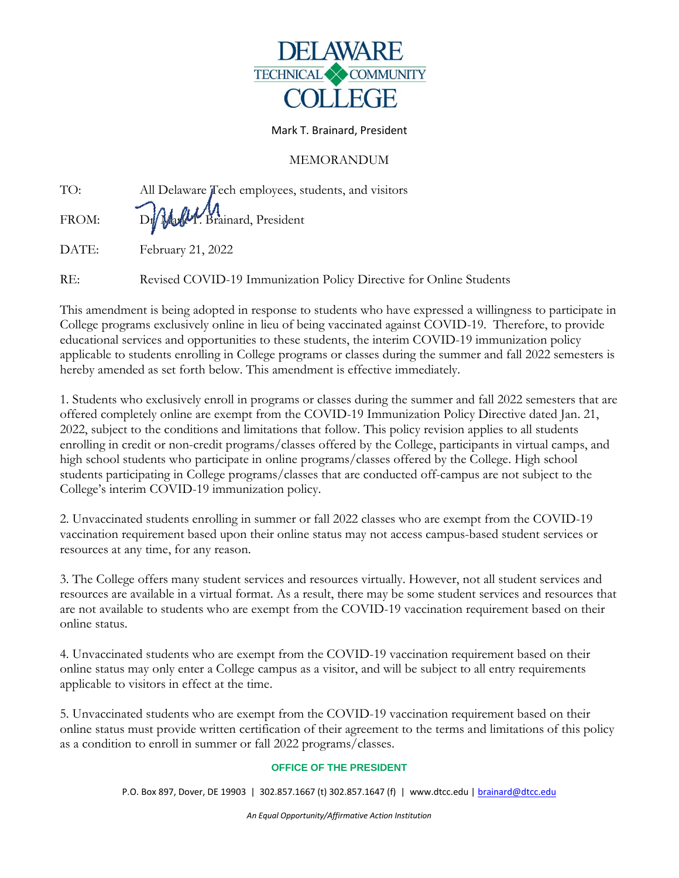

## Mark T. Brainard, President

## MEMORANDUM

| TO:   | All Delaware Tech employees, students, and visitors |
|-------|-----------------------------------------------------|
| FROM: | D. Mally Brainard, President                        |
| DATE: | February 21, 2022                                   |

RE: Revised COVID-19 Immunization Policy Directive for Online Students

This amendment is being adopted in response to students who have expressed a willingness to participate in College programs exclusively online in lieu of being vaccinated against COVID-19. Therefore, to provide educational services and opportunities to these students, the interim COVID-19 immunization policy applicable to students enrolling in College programs or classes during the summer and fall 2022 semesters is hereby amended as set forth below. This amendment is effective immediately.

1. Students who exclusively enroll in programs or classes during the summer and fall 2022 semesters that are offered completely online are exempt from the COVID-19 Immunization Policy Directive dated Jan. 21, 2022, subject to the conditions and limitations that follow. This policy revision applies to all students enrolling in credit or non-credit programs/classes offered by the College, participants in virtual camps, and high school students who participate in online programs/classes offered by the College. High school students participating in College programs/classes that are conducted off-campus are not subject to the College's interim COVID-19 immunization policy.

2. Unvaccinated students enrolling in summer or fall 2022 classes who are exempt from the COVID-19 vaccination requirement based upon their online status may not access campus-based student services or resources at any time, for any reason.

3. The College offers many student services and resources virtually. However, not all student services and resources are available in a virtual format. As a result, there may be some student services and resources that are not available to students who are exempt from the COVID-19 vaccination requirement based on their online status.

4. Unvaccinated students who are exempt from the COVID-19 vaccination requirement based on their online status may only enter a College campus as a visitor, and will be subject to all entry requirements applicable to visitors in effect at the time.

5. Unvaccinated students who are exempt from the COVID-19 vaccination requirement based on their online status must provide written certification of their agreement to the terms and limitations of this policy as a condition to enroll in summer or fall 2022 programs/classes.

## **OFFICE OF THE PRESIDENT**

P.O. Box 897, Dover, DE 19903 | 302.857.1667 (t) 302.857.1647 (f) | www.dtcc.edu | [brainard@dtcc.edu](mailto:brainard@dtcc.edu)